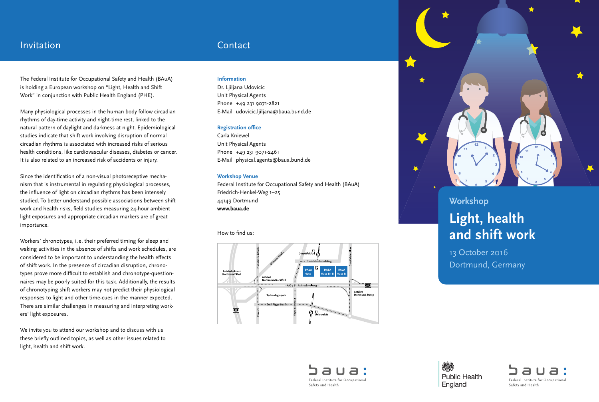# Invitation Contact

The Federal Institute for Occupational Safety and Health (BAuA) is holding a European workshop on "Light, Health and Shift Work" in conjunction with Public Health England (PHE).

Many physiological processes in the human body follow circadian rhythms of day-time activity and night-time rest, linked to the natural pattern of daylight and darkness at night. Epidemiological studies indicate that shift work involving disruption of normal circadian rhythms is associated with increased risks of serious health conditions, like cardiovascular diseases, diabetes or cancer. It is also related to an increased risk of accidents or injury.

Since the identification of a non-visual photoreceptive mechanism that is instrumental in regulating physiological processes, the influence of light on circadian rhythms has been intensely studied. To better understand possible associations between shift work and health risks, field studies measuring 24-hour ambient light exposures and appropriate circadian markers are of great importance.

Workers' chronotypes, i. e. their preferred timing for sleep and waking activities in the absence of shifts and work schedules, are considered to be important to understanding the health effects of shift work. In the presence of circadian disruption, chronotypes prove more difficult to establish and chronotype-questionnaires may be poorly suited for this task. Additionally, the results of chronotyping shift workers may not predict their physiological responses to light and other time-cues in the manner expected. There are similar challenges in measuring and interpreting workers' light exposures.

We invite you to attend our workshop and to discuss with us these briefly outlined topics, as well as other issues related to light, health and shift work.

### **Information**

Dr. Ljiljana Udovicic Unit Physical Agents Phone +49 231 9071-2821 E-Mail [udovicic.ljiljana@baua.bund.de](mailto:udovicic.ljiljana@baua.bund.de)

### **Registration office**

Carla Kniewel Unit Physical Agents Phone +49 231 9071-2461 E-Mail [physical.agents@baua.bund.de](mailto:physical.agents@baua.bund.de)

### **Workshop Venue**

Federal Institute for Occupational Safety and Health (BAuA) Friedrich-Henkel-Weg 1–25 44149 Dortmund **[www.baua.de](http://www.baua.de)**

How to find us:





## **Workshop**

# **Light, health and shift work**

13 October 2016